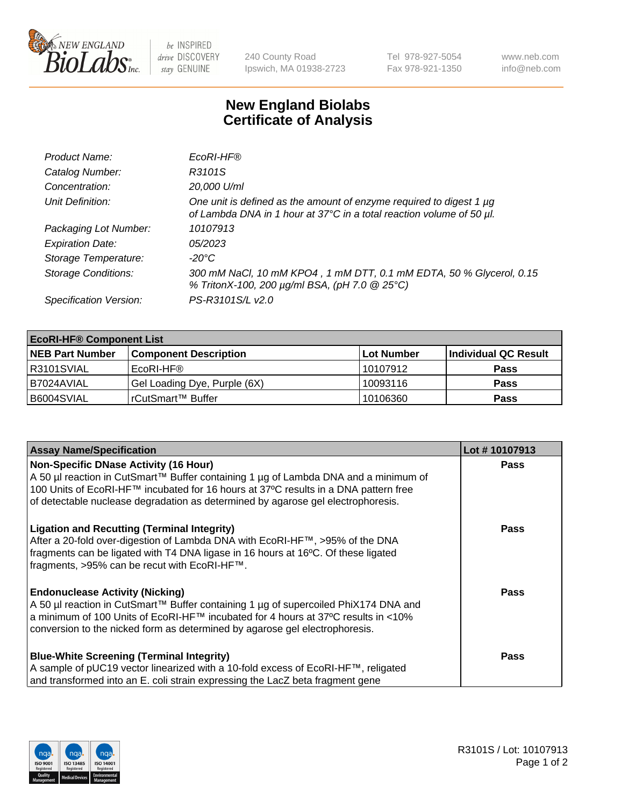

 $be$  INSPIRED drive DISCOVERY stay GENUINE

240 County Road Ipswich, MA 01938-2723 Tel 978-927-5054 Fax 978-921-1350 www.neb.com info@neb.com

## **New England Biolabs Certificate of Analysis**

| Product Name:              | EcoRI-HF®                                                                                                                                   |
|----------------------------|---------------------------------------------------------------------------------------------------------------------------------------------|
| Catalog Number:            | R3101S                                                                                                                                      |
| Concentration:             | 20,000 U/ml                                                                                                                                 |
| Unit Definition:           | One unit is defined as the amount of enzyme required to digest 1 µg<br>of Lambda DNA in 1 hour at 37°C in a total reaction volume of 50 µl. |
| Packaging Lot Number:      | 10107913                                                                                                                                    |
| <b>Expiration Date:</b>    | 05/2023                                                                                                                                     |
| Storage Temperature:       | $-20^{\circ}$ C                                                                                                                             |
| <b>Storage Conditions:</b> | 300 mM NaCl, 10 mM KPO4, 1 mM DTT, 0.1 mM EDTA, 50 % Glycerol, 0.15<br>% TritonX-100, 200 µg/ml BSA, (pH 7.0 @ 25°C)                        |
| Specification Version:     | PS-R3101S/L v2.0                                                                                                                            |

| <b>EcoRI-HF® Component List</b> |                              |            |                      |  |  |
|---------------------------------|------------------------------|------------|----------------------|--|--|
| <b>NEB Part Number</b>          | <b>Component Description</b> | Lot Number | Individual QC Result |  |  |
| R3101SVIAL                      | EcoRI-HF®                    | 10107912   | <b>Pass</b>          |  |  |
| B7024AVIAL                      | Gel Loading Dye, Purple (6X) | 10093116   | <b>Pass</b>          |  |  |
| B6004SVIAL                      | l rCutSmart™ Buffer          | 10106360   | <b>Pass</b>          |  |  |